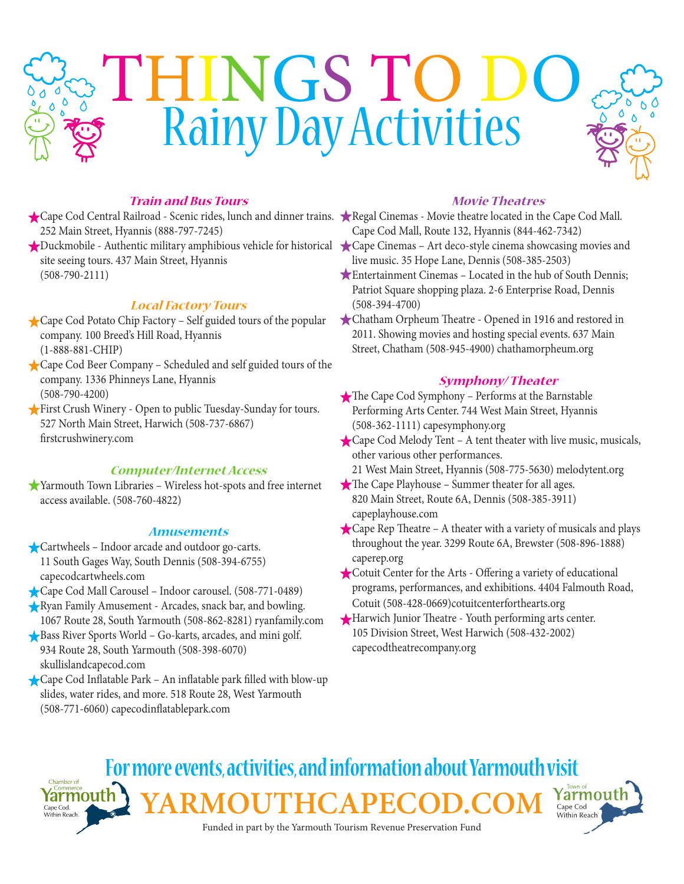# THINGS TO DO Rainy Day Activities

# **Train and Bus Tours**

- Cape Cod Central Railroad Scenic rides, lunch and dinner trains. Regal Cinemas Movie theatre located in the Cape Cod Mall. 252 Main Street, Hyannis (888-797-7245)
- Duckmobile Authentic military amphibious vehicle for historical Cape Cinemas Art deco-style cinema showcasing movies and site seeing tours. 437 Main Street, Hyannis (508-790-2111)

# **Local Factory Tours**

- Cape Cod Potato Chip Factory Self guided tours of the popular company. 100 Breed's Hill Road, Hyannis (1-888-881-CHIP)
- Cape Cod Beer Company Scheduled and self guided tours of the company. 1336 Phinneys Lane, Hyannis (508-790-4200)
- First Crush Winery Open to public Tuesday-Sunday for tours. 527 North Main Street, Harwich (508-737-6867) firstcrushwinery.com

#### **Computer/Internet Access**

Yarmouth Town Libraries – Wireless hot-spots and free internet access available. (508-760-4822)

#### **Amusements**

- Cartwheels Indoor arcade and outdoor go-carts. 11 South Gages Way, South Dennis (508-394-6755) capecodcartwheels.com
- Cape Cod Mall Carousel Indoor carousel. (508-771-0489)
- Ryan Family Amusement Arcades, snack bar, and bowling. 1067 Route 28, South Yarmouth (508-862-8281) ryanfamily.com
- Bass River Sports World Go-karts, arcades, and mini golf. 934 Route 28, South Yarmouth (508-398-6070) skullislandcapecod.com
- Cape Cod Inflatable Park An inflatable park filled with blow-up slides, water rides, and more. 518 Route 28, West Yarmouth (508-771-6060) capecodinflatablepark.com

### **Movie Theatres**

- Cape Cod Mall, Route 132, Hyannis (844-462-7342)
- live music. 35 Hope Lane, Dennis (508-385-2503)
- Entertainment Cinemas Located in the hub of South Dennis; Patriot Square shopping plaza. 2-6 Enterprise Road, Dennis (508-394-4700)
- Chatham Orpheum Theatre Opened in 1916 and restored in 2011. Showing movies and hosting special events. 637 Main Street, Chatham (508-945-4900) chathamorpheum.org

## **Symphony/ Theater**

- The Cape Cod Symphony Performs at the Barnstable Performing Arts Center. 744 West Main Street, Hyannis (508-362-1111) capesymphony.org
- Cape Cod Melody Tent A tent theater with live music, musicals, other various other performances.
	- 21 West Main Street, Hyannis (508-775-5630) melodytent.org
- The Cape Playhouse Summer theater for all ages. 820 Main Street, Route 6A, Dennis (508-385-3911) capeplayhouse.com
- Cape Rep Theatre A theater with a variety of musicals and plays throughout the year. 3299 Route 6A, Brewster (508-896-1888) caperep.org
- Cotuit Center for the Arts Offering a variety of educational programs, performances, and exhibitions. 4404 Falmouth Road, Cotuit (508-428-0669)cotuitcenterforthearts.org
- Harwich Junior Theatre Youth performing arts center. 105 Division Street, West Harwich (508-432-2002) capecodtheatrecompany.org